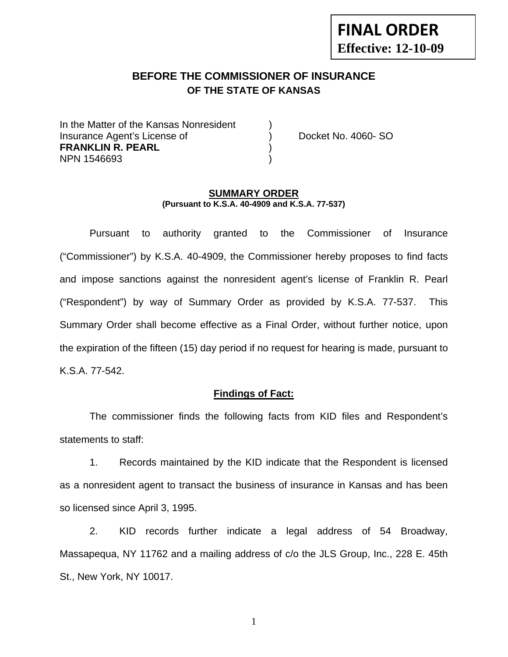# **FINAL ORDER Effective: 12-10-09**

### **BEFORE THE COMMISSIONER OF INSURANCE OF THE STATE OF KANSAS**

In the Matter of the Kansas Nonresident Insurance Agent's License of ) Docket No. 4060- SO **FRANKLIN R. PEARL** ) NPN 1546693 )

#### **SUMMARY ORDER (Pursuant to K.S.A. 40-4909 and K.S.A. 77-537)**

 Pursuant to authority granted to the Commissioner of Insurance ("Commissioner") by K.S.A. 40-4909, the Commissioner hereby proposes to find facts and impose sanctions against the nonresident agent's license of Franklin R. Pearl ("Respondent") by way of Summary Order as provided by K.S.A. 77-537. This Summary Order shall become effective as a Final Order, without further notice, upon the expiration of the fifteen (15) day period if no request for hearing is made, pursuant to K.S.A. 77-542.

#### **Findings of Fact:**

 The commissioner finds the following facts from KID files and Respondent's statements to staff:

 1. Records maintained by the KID indicate that the Respondent is licensed as a nonresident agent to transact the business of insurance in Kansas and has been so licensed since April 3, 1995.

 2. KID records further indicate a legal address of 54 Broadway, Massapequa, NY 11762 and a mailing address of c/o the JLS Group, Inc., 228 E. 45th St., New York, NY 10017.

1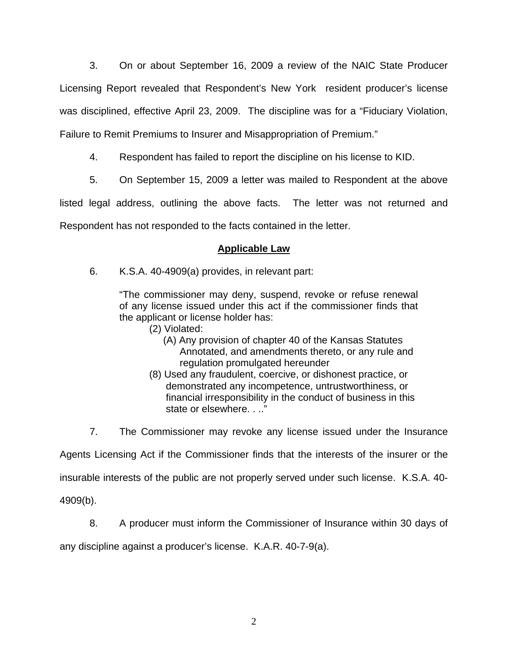3. On or about September 16, 2009 a review of the NAIC State Producer Licensing Report revealed that Respondent's New York resident producer's license was disciplined, effective April 23, 2009. The discipline was for a "Fiduciary Violation, Failure to Remit Premiums to Insurer and Misappropriation of Premium."

4. Respondent has failed to report the discipline on his license to KID.

5. On September 15, 2009 a letter was mailed to Respondent at the above

listed legal address, outlining the above facts. The letter was not returned and Respondent has not responded to the facts contained in the letter.

# **Applicable Law**

6. K.S.A. 40-4909(a) provides, in relevant part:

"The commissioner may deny, suspend, revoke or refuse renewal of any license issued under this act if the commissioner finds that the applicant or license holder has:

- (2) Violated:
	- (A) Any provision of chapter 40 of the Kansas Statutes Annotated, and amendments thereto, or any rule and regulation promulgated hereunder
- (8) Used any fraudulent, coercive, or dishonest practice, or demonstrated any incompetence, untrustworthiness, or financial irresponsibility in the conduct of business in this state or elsewhere. . .."

7. The Commissioner may revoke any license issued under the Insurance

Agents Licensing Act if the Commissioner finds that the interests of the insurer or the

insurable interests of the public are not properly served under such license. K.S.A. 40-

4909(b).

8. A producer must inform the Commissioner of Insurance within 30 days of

any discipline against a producer's license. K.A.R. 40-7-9(a).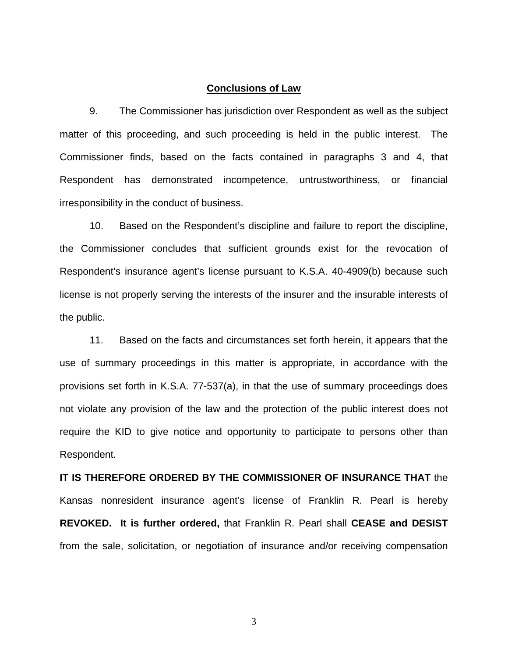#### **Conclusions of Law**

 9. The Commissioner has jurisdiction over Respondent as well as the subject matter of this proceeding, and such proceeding is held in the public interest. The Commissioner finds, based on the facts contained in paragraphs 3 and 4, that Respondent has demonstrated incompetence, untrustworthiness, or financial irresponsibility in the conduct of business.

 10. Based on the Respondent's discipline and failure to report the discipline, the Commissioner concludes that sufficient grounds exist for the revocation of Respondent's insurance agent's license pursuant to K.S.A. 40-4909(b) because such license is not properly serving the interests of the insurer and the insurable interests of the public.

 11. Based on the facts and circumstances set forth herein, it appears that the use of summary proceedings in this matter is appropriate, in accordance with the provisions set forth in K.S.A. 77-537(a), in that the use of summary proceedings does not violate any provision of the law and the protection of the public interest does not require the KID to give notice and opportunity to participate to persons other than Respondent.

**IT IS THEREFORE ORDERED BY THE COMMISSIONER OF INSURANCE THAT** the Kansas nonresident insurance agent's license of Franklin R. Pearl is hereby **REVOKED. It is further ordered,** that Franklin R. Pearl shall **CEASE and DESIST** from the sale, solicitation, or negotiation of insurance and/or receiving compensation

3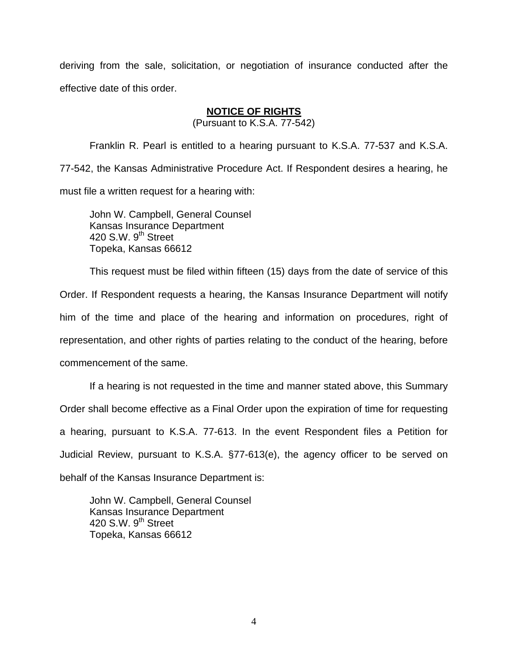deriving from the sale, solicitation, or negotiation of insurance conducted after the effective date of this order.

### **NOTICE OF RIGHTS**

(Pursuant to K.S.A. 77-542)

Franklin R. Pearl is entitled to a hearing pursuant to K.S.A. 77-537 and K.S.A. 77-542, the Kansas Administrative Procedure Act. If Respondent desires a hearing, he must file a written request for a hearing with:

 John W. Campbell, General Counsel Kansas Insurance Department 420 S.W. 9<sup>th</sup> Street Topeka, Kansas 66612

This request must be filed within fifteen (15) days from the date of service of this Order. If Respondent requests a hearing, the Kansas Insurance Department will notify him of the time and place of the hearing and information on procedures, right of representation, and other rights of parties relating to the conduct of the hearing, before commencement of the same.

If a hearing is not requested in the time and manner stated above, this Summary Order shall become effective as a Final Order upon the expiration of time for requesting a hearing, pursuant to K.S.A. 77-613. In the event Respondent files a Petition for Judicial Review, pursuant to K.S.A. §77-613(e), the agency officer to be served on behalf of the Kansas Insurance Department is:

 John W. Campbell, General Counsel Kansas Insurance Department 420 S.W. 9<sup>th</sup> Street Topeka, Kansas 66612